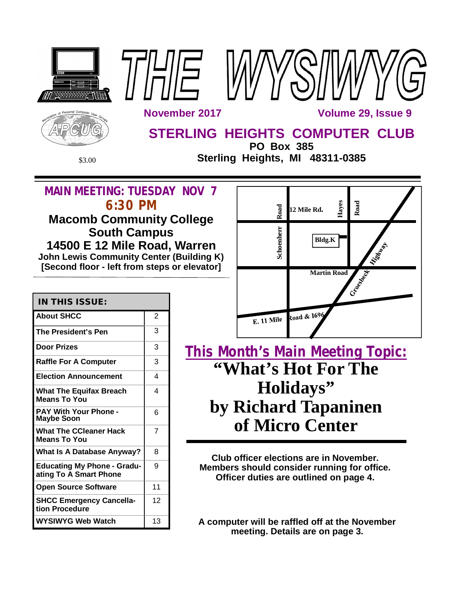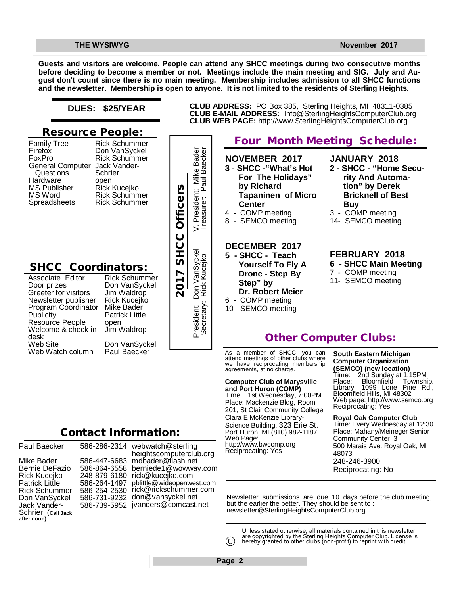**Guests and visitors are welcome. People can attend any SHCC meetings during two consecutive months before deciding to become a member or not. Meetings include the main meeting and SIG. July and August don't count since there is no main meeting. Membership includes admission to all SHCC functions and the newsletter. Membership is open to anyone. It is not limited to the residents of Sterling Heights.**

#### **DUES: \$25/YEAR**

### **Resource People:**

| Questions<br>Schrier<br>Hardware<br>open<br><b>MS Publisher</b><br>MS Word<br>Spreadsheets | <b>Family Tree</b><br>Firefox<br>FoxPro<br><b>General Computer</b> | <b>Rick Schummer</b><br>Don VanSyckel<br><b>Rick Schummer</b><br>Jack Vander- |
|--------------------------------------------------------------------------------------------|--------------------------------------------------------------------|-------------------------------------------------------------------------------|
|                                                                                            |                                                                    | Rick Kucejko<br>Rick Schummer<br><b>Rick Schummer</b>                         |

## **SHCC Coordinators:**

Don VanSyckel Jim Waldrop Rick Kucejko Mike Bader Patrick Little open Jim Waldrop Don VanSyckel Paul Baecker France Rick Kucejko<br>
Pick Schummer<br>
Pick Schummer<br>
Pick Schummer<br>
Pick Schummer<br>
Don VanSyckel<br>
Prepublisher Rick Kucejko<br>
Coordinator Mike Bader<br>
People open<br>
& check-in Jim Waldrop<br>
Don VanSyckel<br>
Contact Information:<br>
P

Rick Schummer

Mike Bader<br>aul Baecker **Bader** President: Don VanSyckel V. President: Mike Bader Secretary: Rick Kucejko Treasurer: Paul Baecker President: Mil  $\overline{z}$ Don VanSyckel<br>Rick Kucejko Secretary: President:

#### **NOVEMBER 2017 3** - **SHCC -"What's Hot For The Holidays" by Richard Tapaninen of Micro Center** 4 **-** COMP meeting 8 - SEMCO meeting **DECEMBER 2017 5 - SHCC - Teach Yourself To Fly A Drone - Step By Step" by Dr. Robert Meier** 6 **-** COMP meeting 10- SEMCO meeting **JANUARY 2018 rity And Automation" by Derek Bricknell of Best Buy** 3 **-** COMP meeting 14- SEMCO meeting **FEBRUARY 2018** 7 **-** COMP meeting 11- SEMCO meeting

**Four Month Meeting Schedule:**

**CLUB ADDRESS:** PO Box 385, Sterling Heights, MI 48311-0385 **CLUB E-MAIL ADDRESS:** [Info@SterlingHeightsComputerClub.org](mailto:Info@SterlingHeightsComputerClub.org) **CLUB WEB PAGE:** <http://www.SterlingHeightsComputerClub.org>

### **Other Computer Clubs:**

As a member of SHCC, you can attend meetings of other clubs where we have reciprocating membership agreements, at no charge.

#### **Computer Club of Marysville**

**and Port Huron (COMP)** Time: 1st Wednesday, 7:00PM Place: Mackenzie Bldg, Room 201, St Clair Community College, Clara E McKenzie Library-Science Building, 323 Erie St. Port Huron, MI (810) 982-1187 Web Page: <http://www.bwcomp.org> Reciprocating: Yes

### **South Eastern Michigan Computer Organization (SEMCO) (new location)**

Time: 2nd Sunday at 1:15PM<br>Place: Bloomfield Townshi Place: Bloomfield Township. Library, 1099 Lone Pine Rd., Library, 1099 Lone Pin<br>Bloomfield Hills, MI 48302 Web page: <http://www.semco.org> Reciprocating: Yes

#### **Royal Oak Computer Club** Time: Every Wednesday at 12:30 Place: Mahany/Meineger Senior Community Center 3 500 Marais Ave. Royal Oak, MI 48073 248-246-3900 Reciprocating: No

Newsletter submissions are due 10 days before the club meeting, but the earlier the better. They should be sent to : [newsletter@SterlingHeightsComputerClub.org](mailto:newsletter@SterlingHeightsComputerClub.org)

Unless stated otherwise, all materials contained in this newsletter are copyrighted by the Sterling Heights Computer Club. License is hereby granted to other clubs (non-profit) to reprint with credit.  $\odot$ 

586-286-2314 webwatch@sterling 586-447-6683 [mdbader@flash.net](mailto:mdbader@flash.net) 586-864-6558 [berniede1@wowway.com](mailto:berniede1@wowway.com) 248-879-6180 [rick@kucejko.com](mailto:rick@kucejko.com) 586-264-1497 [pblittle@wideopenwest.com](mailto:pblittle@wideopenwest.com) 586-254-2530 [rick@rickschummer.com](mailto:rick@rickschummer.com) 586-731-9232 [don@vansyckel.net](mailto:don@vansyckel.net) 586-739-5952 [jvanders@comcast.net](mailto:jvanders@comcast.net) heightscomputerclub.org

**2 - SHCC - "Home Secu-**

# **6 - SHCC Main Meeting**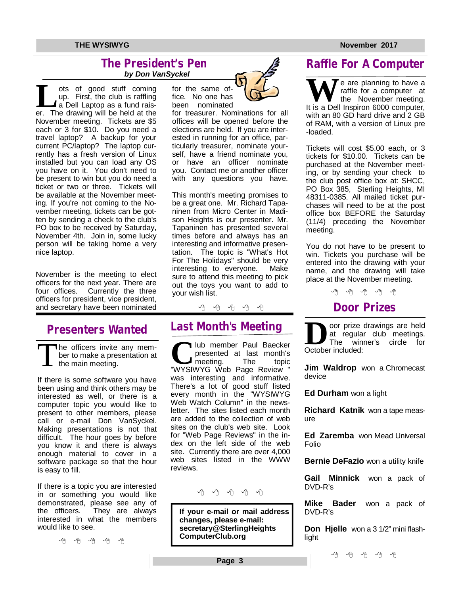### **The President's Pen**   *by Don VanSyckel*

Let us of good stuff coming<br>
up. First, the club is raffling<br>
a Dell Laptop as a fund rais-<br>
er. The drawing will be held at the ots of good stuff coming up. First, the club is raffling ▲ a Dell Laptop as a fund rais-November meeting. Tickets are \$5 each or 3 for \$10. Do you need a travel laptop? A backup for your current PC/laptop? The laptop currently has a fresh version of Linux installed but you can load any OS you have on it. You don't need to be present to win but you do need a ticket or two or three. Tickets will be available at the November meeting. If you're not coming to the November meeting, tickets can be gotten by sending a check to the club's PO box to be received by Saturday, November 4th. Join in, some lucky person will be taking home a very nice laptop.

November is the meeting to elect officers for the next year. There are four offices. Currently the three officers for president, vice president, and secretary have been nominated

# **Presenters Wanted**

T The officers invite any member to make a presentation at the main meeting.

If there is some software you have been using and think others may be interested as well, or there is a computer topic you would like to present to other members, please call or e-mail Don VanSyckel. Making presentations is not that difficult. The hour goes by before you know it and there is always enough material to cover in a software package so that the hour is easy to fill.

If there is a topic you are interested in or something you would like demonstrated, please see any of the officers. They are always interested in what the members would like to see.

A A A A A



fice. No one has been nominated

for treasurer. Nominations for all offices will be opened before the elections are held. If you are interested in running for an office, particularly treasurer, nominate yourself, have a friend nominate you, or have an officer nominate you. Contact me or another officer with any questions you have.

This month's meeting promises to be a great one. Mr. Richard Tapaninen from Micro Center in Madison Heights is our presenter. Mr. Tapaninen has presented several times before and always has an interesting and informative presentation. The topic is "What's Hot For The Holidays" should be very<br>interesting to everyone. Make interesting to everyone. sure to attend this meeting to pick out the toys you want to add to your wish list.

#### 中 中 一 个

# **Last Month's Meeting**

**C**lub member Paul Baecker<br>
presented at last month's<br>
"WYSIWYG Web Page Review " lub member Paul Baecker presented at last month's<br>meeting The topic meeting. was interesting and informative. There's a lot of good stuff listed every month in the "WYSIWYG Web Watch Column" in the newsletter. The sites listed each month are added to the collection of web sites on the club's web site. Look for "Web Page Reviews" in the index on the left side of the web site. Currently there are over 4,000 web sites listed in the WWW reviews.



**If your e-mail or mail address changes, please e-mail: secretary@SterlingHeights ComputerClub.org**

# **Raffle For A Computer**

We are planning to have a<br>
It is a Dell Inspiron 6000 computer, raffle for a computer at the November meeting. with an 80 GD hard drive and 2 GB of RAM, with a version of Linux pre -loaded.

Tickets will cost \$5.00 each, or 3 tickets for \$10.00. Tickets can be purchased at the November meeting, or by sending your check to the club post office box at: SHCC, PO Box 385, Sterling Heights, MI 48311-0385. All mailed ticket purchases will need to be at the post office box BEFORE the Saturday (11/4) preceding the November meeting.

You do not have to be present to win. Tickets you purchase will be entered into the drawing with your name, and the drawing will take place at the November meeting.

用 用 用 用 用

# **Door Prizes**

**D**oor prize<br>
at regula<br>
October included: oor prize drawings are held at regular club meetings. The winner's circle for

**Jim Waldrop** won a Chromecast device

**Ed Durham** won a light

**Richard Katnik** won a tape measure

**Ed Zaremba** won Mead Universal Folio

**Bernie DeFazio** won a utility knife

**Gail Minnick** won a pack of DVD-R's

**Mike Bader** won a pack of DVD-R's

**Don Hjelle** won a 3 1/2" mini flashlight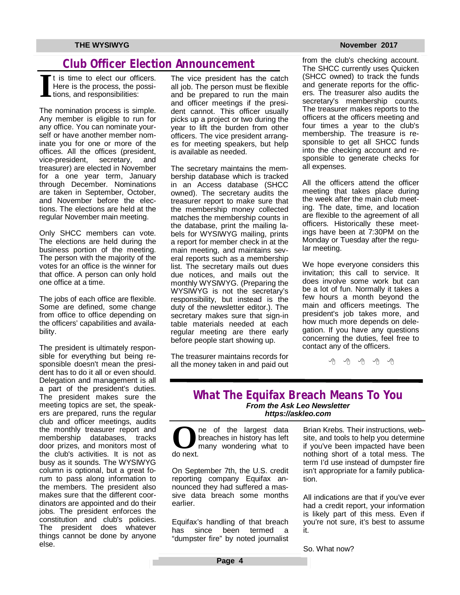# **Club Officer Election Announcement**

**I** t is time to elect our officers. Here is the process, the possitions, and responsibilities:

The nomination process is simple. Any member is eligible to run for any office. You can nominate yourself or have another member nominate you for one or more of the offices. All the offices (president, vice-president, secretary, and treasurer) are elected in November for a one year term, January through December. Nominations are taken in September, October, and November before the elections. The elections are held at the regular November main meeting.

Only SHCC members can vote. The elections are held during the business portion of the meeting. The person with the majority of the votes for an office is the winner for that office. A person can only hold one office at a time.

The jobs of each office are flexible. Some are defined, some change from office to office depending on the officers' capabilities and availability.

The president is ultimately responsible for everything but being responsible doesn't mean the president has to do it all or even should. Delegation and management is all a part of the president's duties. The president makes sure the meeting topics are set, the speakers are prepared, runs the regular club and officer meetings, audits the monthly treasurer report and membership databases, tracks door prizes, and monitors most of the club's activities. It is not as busy as it sounds. The WYSIWYG column is optional, but a great forum to pass along information to the members. The president also makes sure that the different coordinators are appointed and do their jobs. The president enforces the constitution and club's policies. The president does whatever things cannot be done by anyone else.

The vice president has the catch all job. The person must be flexible and be prepared to run the main and officer meetings if the president cannot. This officer usually picks up a project or two during the year to lift the burden from other officers. The vice president arranges for meeting speakers, but help is available as needed.

The secretary maintains the membership database which is tracked in an Access database (SHCC owned). The secretary audits the treasurer report to make sure that the membership money collected matches the membership counts in the database, print the mailing labels for WYSIWYG mailing, prints a report for member check in at the main meeting, and maintains several reports such as a membership list. The secretary mails out dues due notices, and mails out the monthly WYSIWYG. (Preparing the WYSIWYG is not the secretary's responsibility, but instead is the duty of the newsletter editor.). The secretary makes sure that sign-in table materials needed at each regular meeting are there early before people start showing up.

The treasurer maintains records for all the money taken in and paid out

from the club's checking account. The SHCC currently uses Quicken (SHCC owned) to track the funds and generate reports for the officers. The treasurer also audits the secretary's membership counts. The treasurer makes reports to the officers at the officers meeting and four times a year to the club's membership. The treasure is responsible to get all SHCC funds into the checking account and responsible to generate checks for all expenses.

All the officers attend the officer meeting that takes place during the week after the main club meeting. The date, time, and location are flexible to the agreement of all officers. Historically these meetings have been at 7:30PM on the Monday or Tuesday after the regular meeting.

 concerning the duties, feel free to We hope everyone considers this invitation; this call to service. It does involve some work but can be a lot of fun. Normally it takes a few hours a month beyond the main and officers meetings. The president's job takes more, and how much more depends on delegation. If you have any questions contact any of the officers.

一个

### **What The Equifax Breach Means To You** *From the Ask Leo Newsletter <https://askleo.com>*

**O** do next. ne of the largest data breaches in history has left many wondering what to

On September 7th, the U.S. credit reporting company Equifax announced they had suffered a massive data breach some months earlier.

Equifax's handling of that breach has since been termed a "dumpster fire" by noted journalist

Brian Krebs. Their instructions, website, and tools to help you determine if you've been impacted have been nothing short of a total mess. The term I'd use instead of dumpster fire isn't appropriate for a family publication.

All indications are that if you've ever had a credit report, your information is likely part of this mess. Even if you're not sure, it's best to assume it.

So. What now?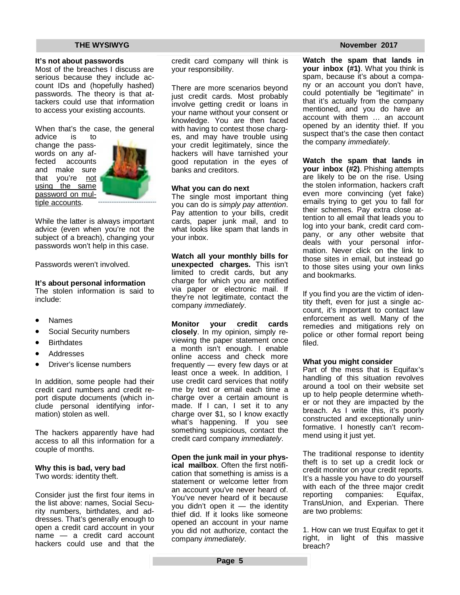#### **It's not about passwords**

Most of the breaches I discuss are serious because they include account IDs and (hopefully hashed) passwords. The theory is that attackers could use that information to access your existing accounts.

When that's the case, the general

advice is to change the passwords on any affected accounts and make sure that you're not using the same password on multiple accounts.



While the latter is always important advice (even when you're not the subject of a breach), changing your passwords won't help in this case.

Passwords weren't involved.

#### **It's about personal information**

The stolen information is said to include:

- Names
- Social Security numbers
- **Birthdates**
- Addresses
- Driver's license numbers

In addition, some people had their credit card numbers and credit report dispute documents (which include personal identifying information) stolen as well.

The hackers apparently have had access to all this information for a couple of months.

#### **Why this is bad, very bad**

Two words: identity theft.

Consider just the first four items in the list above: names, Social Security numbers, birthdates, and addresses. That's generally enough to open a credit card account in your name — a credit card account hackers could use and that the

credit card company will think is your responsibility.

There are more scenarios beyond just credit cards. Most probably involve getting credit or loans in your name without your consent or knowledge. You are then faced with having to contest those charges, and may have trouble using your credit legitimately, since the hackers will have tarnished your good reputation in the eyes of banks and creditors.

#### **What you can do next**

The single most important thing you can do is *simply pay attention*. Pay attention to your bills, credit cards, paper junk mail, and to what looks like spam that lands in your inbox.

**Watch all your monthly bills for unexpected charges.** This isn't limited to credit cards, but any charge for which you are notified via paper or electronic mail. If they're not legitimate, contact the company *immediately*.

**Monitor your credit cards closely**. In my opinion, simply reviewing the paper statement once a month isn't enough. I enable online access and check more frequently — every few days or at least once a week. In addition, I use credit card services that notify me by text or email each time a charge over a certain amount is made. If I can, I set it to any charge over \$1, so I know exactly what's happening. If you see something suspicious, contact the credit card company *immediately*.

**Open the junk mail in your physical mailbox**. Often the first notification that something is amiss is a statement or welcome letter from an account you've never heard of. You've never heard of it because you didn't open it — the identity thief did. If it looks like someone opened an account in your name you did not authorize, contact the company *immediately*.

**Watch the spam that lands in your inbox (#1)**. What you think is spam, because it's about a company or an account you don't have, could potentially be "legitimate" in that it's actually from the company mentioned, and you do have an account with them … an account opened by an identity thief. If you suspect that's the case then contact the company *immediately*.

**Watch the spam that lands in your inbox (#2)**. Phishing attempts are likely to be on the rise. Using the stolen information, hackers craft even more convincing (yet fake) emails trying to get you to fall for their schemes. Pay extra close attention to all email that leads you to log into your bank, credit card company, or any other website that deals with your personal information. Never click on the link to those sites in email, but instead go to those sites using your own links and bookmarks.

If you find you are the victim of identity theft, even for just a single account, it's important to contact law enforcement as well. Many of the remedies and mitigations rely on police or other formal report being filed.

#### **What you might consider**

Part of the mess that is Equifax's handling of this situation revolves around a tool on their website set up to help people determine whether or not they are impacted by the breach. As I write this, it's poorly constructed and exceptionally uninformative. I honestly can't recommend using it just yet.

The traditional response to identity theft is to set up a credit lock or credit monitor on your credit reports. It's a hassle you have to do yourself with each of the three major credit<br>reporting companies: Equifax, reporting companies: TransUnion, and Experian. There are two problems:

1. How can we trust Equifax to get it right, in light of this massive breach?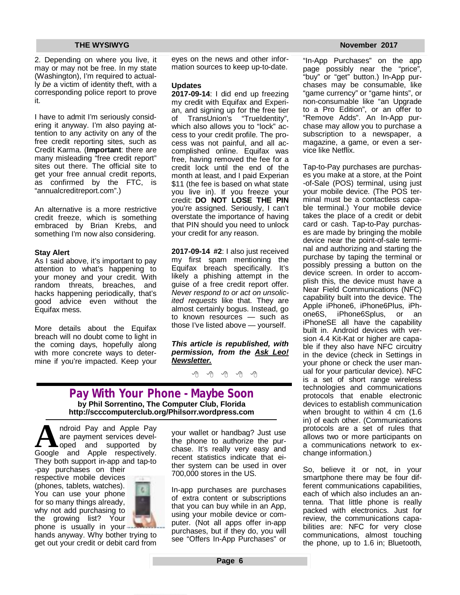2. Depending on where you live, it may or may not be free. In my state (Washington), I'm required to actually *be* a victim of identity theft, with a corresponding police report to prove it.

I have to admit I'm seriously considering it anyway. I'm also paying attention to any activity on any of the free credit reporting sites, such as Credit Karma. (**Important**: there are many misleading "free credit report" sites out there. The official site to get your free annual credit reports, as confirmed by the FTC, is "annualcreditreport.com".)

An alternative is a more restrictive credit freeze, which is something embraced by Brian Krebs, and something I'm now also considering.

#### **Stay Alert**

As I said above, it's important to pay attention to what's happening to your money and your credit. With random threats, breaches, and hacks happening periodically, that's good advice even without the Equifax mess.

More details about the Equifax breach will no doubt come to light in the coming days, hopefully along with more concrete ways to determine if you're impacted. Keep your eyes on the news and other information sources to keep up-to-date.

#### **Updates**

**2017-09-14**: I did end up freezing my credit with Equifax and Experian, and signing up for the free tier of TransUnion's "TrueIdentity", which also allows you to "lock" access to your credit profile. The process was not painful, and all accomplished online. Equifax was free, having removed the fee for a credit lock until the end of the month at least, and I paid Experian \$11 (the fee is based on what state you live in). If you freeze your credit: **DO NOT LOSE THE PIN** you're assigned. Seriously, I can't overstate the importance of having that PIN should you need to unlock your credit for any reason.

**2017-09-14 #2**: I also just received my first spam mentioning the Equifax breach specifically. It's likely a phishing attempt in the guise of a free credit report offer. *Never respond to or act on unsolicited requests* like that. They are almost certainly bogus. Instead, go to known resources — such as those I've listed above — yourself.

*This article is republished, with permission, from the Ask Leo! Newsletter.* 

9 9 9 9 9

### **Pay With Your Phone - Maybe Soon by Phil Sorrentino, The Computer Club, Florida <http://scccomputerclub.org/Philsorr.wordpress.com>**

A ndroid Pay and Apple Pay<br>are payment services devel-<br>Google and Apple respectively. ndroid Pay and Apple Pay are payment services developed and supported by They both support in-app and tap-to

-pay purchases on their respective mobile devices (phones, tablets, watches). You can use your phone for so many things already, why not add purchasing to the growing list? Your phone is usually in your -



hands anyway. Why bother trying to get out your credit or debit card from

your wallet or handbag? Just use the phone to authorize the purchase. It's really very easy and recent statistics indicate that either system can be used in over 700,000 stores in the US.

In-app purchases are purchases of extra content or subscriptions that you can buy while in an App, using your mobile device or computer. (Not all apps offer in-app purchases, but if they do, you will see "Offers In-App Purchases" or

"In-App Purchases" on the app page possibly near the "price", "buy" or "get" button.) In-App purchases may be consumable, like "game currency" or "game hints", or non-consumable like "an Upgrade to a Pro Edition", or an offer to "Remove Adds". An In-App purchase may allow you to purchase a subscription to a newspaper, a magazine, a game, or even a service like Netflix.

Tap-to-Pay purchases are purchases you make at a store, at the Point -of-Sale (POS) terminal, using just your mobile device. (The POS terminal must be a contactless capable terminal.) Your mobile device takes the place of a credit or debit card or cash. Tap-to-Pay purchases are made by bringing the mobile device near the point-of-sale terminal and authorizing and starting the purchase by taping the terminal or possibly pressing a button on the device screen. In order to accomplish this, the device must have a Near Field Communications (NFC) capability built into the device. The Apple iPhone6, iPhone6Plus, iPh-<br>one6S, iPhone6Splus, or an iPhone6Splus, or an iPhoneSE all have the capability built in. Android devices with version 4.4 Kit-Kat or higher are capable if they also have NFC circuitry in the device (check in Settings in your phone or check the user manual for your particular device). NFC is a set of short range wireless technologies and communications protocols that enable electronic devices to establish communication when brought to within 4 cm (1.6) in) of each other. (Communications protocols are a set of rules that allows two or more participants on a communications network to exchange information.)

So, believe it or not, in your smartphone there may be four different communications capabilities, each of which also includes an antenna. That little phone is really packed with electronics. Just for review, the communications capabilities are: NFC for very close communications, almost touching the phone, up to 1.6 in; Bluetooth,

#### **THE WYSIWYG November 2017**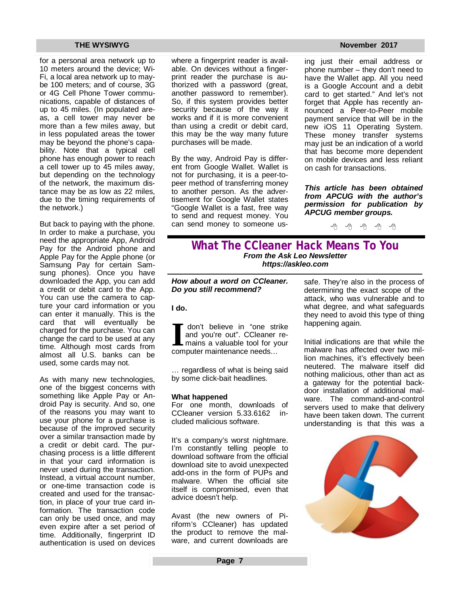for a personal area network up to 10 meters around the device; Wi-Fi, a local area network up to maybe 100 meters; and of course, 3G or 4G Cell Phone Tower communications, capable of distances of up to 45 miles. (In populated areas, a cell tower may never be more than a few miles away, but in less populated areas the tower may be beyond the phone's capability. Note that a typical cell phone has enough power to reach a cell tower up to 45 miles away, but depending on the technology of the network, the maximum distance may be as low as 22 miles, due to the timing requirements of the network.)

But back to paying with the phone. In order to make a purchase, you need the appropriate App, Android Pay for the Android phone and Apple Pay for the Apple phone (or Samsung Pay for certain Samsung phones). Once you have downloaded the App, you can add a credit or debit card to the App. You can use the camera to capture your card information or you can enter it manually. This is the card that will eventually be charged for the purchase. You can change the card to be used at any time. Although most cards from almost all U.S. banks can be used, some cards may not.

As with many new technologies, one of the biggest concerns with something like Apple Pay or Android Pay is security. And so, one of the reasons you may want to use your phone for a purchase is because of the improved security over a similar transaction made by a credit or debit card. The purchasing process is a little different in that your card information is never used during the transaction. Instead, a virtual account number, or one-time transaction code is created and used for the transaction, in place of your true card information. The transaction code can only be used once, and may even expire after a set period of time. Additionally, fingerprint ID authentication is used on devices where a fingerprint reader is available. On devices without a fingerprint reader the purchase is authorized with a password (great, another password to remember). So, if this system provides better security because of the way it works and if it is more convenient than using a credit or debit card, this may be the way many future purchases will be made.

By the way, Android Pay is different from Google Wallet. Wallet is not for purchasing, it is a peer-topeer method of transferring money to another person. As the advertisement for Google Wallet states "Google Wallet is a fast, free way to send and request money. You can send money to someone us-

ing just their email address or phone number – they don't need to have the Wallet app. All you need is a Google Account and a debit card to get started." And let's not forget that Apple has recently announced a Peer-to-Peer mobile payment service that will be in the new iOS 11 Operating System. These money transfer systems may just be an indication of a world that has become more dependent on mobile devices and less reliant on cash for transactions.

*This article has been obtained from APCUG with the author's permission for publication by APCUG member groups.*

西 伯 伯 伯 伯

### **What The CCleaner Hack Means To You** *From the Ask Leo Newsletter <https://askleo.com>*

*How about a word on CCleaner. Do you still recommend?* 

#### **I do.**

**I** don't believe in "one strand you're out". CCleaner maints a valuable tool for y computer maintenance needs... don't believe in "one strike and you're out". CCleaner remains a valuable tool for your

… regardless of what is being said by some click-bait headlines.

#### **What happened**

For one month, downloads of CCleaner version 5.33.6162 included malicious software.

It's a company's worst nightmare. I'm constantly telling people to download software from the official download site to avoid unexpected add-ons in the form of PUPs and malware. When the official site itself is compromised, even that advice doesn't help.

Avast (the new owners of Piriform's CCleaner) has updated the product to remove the malware, and current downloads are

safe. They're also in the process of determining the exact scope of the attack, who was vulnerable and to what degree, and what safeguards they need to avoid this type of thing happening again.

Initial indications are that while the malware has affected over two million machines, it's effectively been neutered. The malware itself did nothing malicious, other than act as a gateway for the potential backdoor installation of additional malware. The command-and-control servers used to make that delivery have been taken down. The current understanding is that this was a

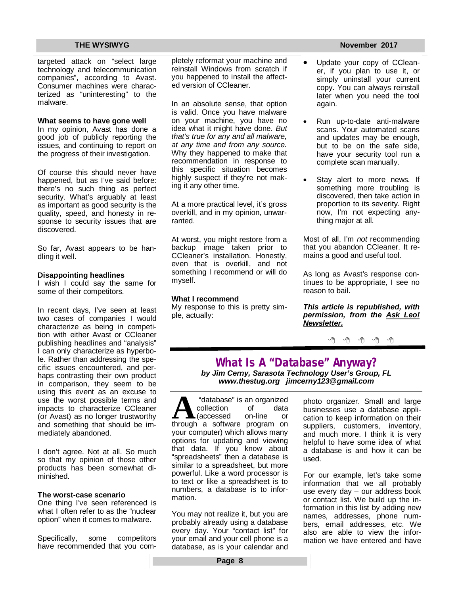targeted attack on "select large technology and telecommunication companies", according to Avast. Consumer machines were characterized as "uninteresting" to the malware.

#### **What seems to have gone well**

In my opinion, Avast has done a good job of publicly reporting the issues, and continuing to report on the progress of their investigation.

Of course this should never have happened, but as I've said before: there's no such thing as perfect security. What's arguably at least as important as good security is the quality, speed, and honesty in response to security issues that are discovered.

So far, Avast appears to be handling it well.

#### **Disappointing headlines**

I wish I could say the same for some of their competitors.

In recent days, I've seen at least two cases of companies I would characterize as being in competition with either Avast or CCleaner publishing headlines and "analysis" I can only characterize as hyperbole. Rather than addressing the specific issues encountered, and perhaps contrasting their own product in comparison, they seem to be using this event as an excuse to use the worst possible terms and impacts to characterize CCleaner (or Avast) as no longer trustworthy and something that should be immediately abandoned.

I don't agree. Not at all. So much so that my opinion of those other products has been somewhat diminished.

#### **The worst-case scenario**

One thing I've seen referenced is what I often refer to as the "nuclear option" when it comes to malware.

Specifically, some competitors have recommended that you completely reformat your machine and reinstall Windows from scratch if you happened to install the affected version of CCleaner.

In an absolute sense, that option is valid. Once you have malware on your machine, you have no idea what it might have done. *But that's true for any and all malware, at any time and from any source.* Why they happened to make that recommendation in response to this specific situation becomes highly suspect if they're not making it any other time.

At a more practical level, it's gross overkill, and in my opinion, unwarranted.

At worst, you might restore from a backup image taken prior to CCleaner's installation. Honestly, even that is overkill, and not something I recommend or will do myself.

#### **What I recommend**

My response to this is pretty simple, actually:

- Update your copy of CCleaner, if you plan to use it, or simply uninstall your current copy. You can always reinstall later when you need the tool again.
- Run up-to-date anti-malware scans. Your automated scans and updates may be enough, but to be on the safe side, have your security tool run a complete scan manually.
- Stay alert to more news. If something more troubling is discovered, then take action in proportion to its severity. Right now, I'm not expecting anything major at all.

Most of all, I'm *not* recommending that you abandon CCleaner. It remains a good and useful tool.

As long as Avast's response continues to be appropriate, I see no reason to bail.

*This article is republished, with permission, from the Ask Leo! Newsletter.* 

平 平 平 平 平

**What Is A "Database" Anyway?** *by Jim Cerny, Sarasota Technology User's Group, FL [www.thestug.org](http://www.thestug.org) [jimcerny123@gmail.com](mailto:jimcerny123@gmail.com)*

**A** "database" is an organized<br>collection of data<br>through a software program on "database" is an organized collection of data (accessed on-line or your computer) which allows many options for updating and viewing that data. If you know about "spreadsheets" then a database is similar to a spreadsheet, but more powerful. Like a word processor is to text or like a spreadsheet is to numbers, a database is to information.

You may not realize it, but you are probably already using a database every day. Your "contact list" for your email and your cell phone is a database, as is your calendar and photo organizer. Small and large businesses use a database application to keep information on their suppliers, customers, inventory, and much more. I think it is very helpful to have some idea of what a database is and how it can be used.

For our example, let's take some information that we all probably use every day – our address book or contact list. We build up the information in this list by adding new names, addresses, phone numbers, email addresses, etc. We also are able to view the information we have entered and have

#### **THE WYSIWYG November 2017**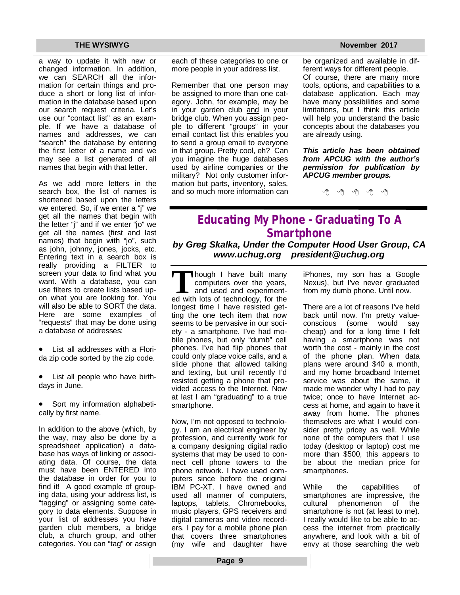a way to update it with new or changed information. In addition, we can SEARCH all the information for certain things and produce a short or long list of information in the database based upon our search request criteria. Let's use our "contact list" as an example. If we have a database of names and addresses, we can "search" the database by entering the first letter of a name and we may see a list generated of all names that begin with that letter.

As we add more letters in the search box, the list of names is shortened based upon the letters we entered. So, if we enter a "j" we get all the names that begin with the letter "j" and if we enter "jo" we get all the names (first and last names) that begin with "jo", such as john, johnny, jones, jocks, etc. Entering text in a search box is really providing a FILTER to screen your data to find what you want. With a database, you can use filters to create lists based upon what you are looking for. You will also be able to SORT the data. Here are some examples of "requests" that may be done using a database of addresses:

 List all addresses with a Florida zip code sorted by the zip code.

• List all people who have birthdays in June.

 Sort my information alphabetically by first name.

In addition to the above (which, by the way, may also be done by a spreadsheet application) a database has ways of linking or associating data. Of course, the data must have been ENTERED into the database in order for you to find it! A good example of grouping data, using your address list, is "tagging" or assigning some category to data elements. Suppose in your list of addresses you have garden club members, a bridge club, a church group, and other categories. You can "tag" or assign each of these categories to one or more people in your address list.

Remember that one person may be assigned to more than one category. John, for example, may be in your garden club and in your bridge club. When you assign people to different "groups" in your email contact list this enables you to send a group email to everyone in that group. Pretty cool, eh? Can you imagine the huge databases used by airline companies or the military? Not only customer information but parts, inventory, sales, and so much more information can

**THE WYSIWYG November 2017** 

be organized and available in different ways for different people. Of course, there are many more tools, options, and capabilities to a database application. Each may have many possibilities and some limitations, but I think this article will help you understand the basic concepts about the databases you are already using.

*This article has been obtained from APCUG with the author's permission for publication by APCUG member groups.*

一个 一个

# **Educating My Phone - Graduating To A Smartphone**

*by Greg Skalka, Under the Computer Hood User Group, CA [www.uchug.org](http://www.uchug.org) [president@uchug.org](mailto:president@uchug.org)*

Though I have built many<br>
computers over the years,<br>
and used and experiment-<br>
ed with lots of technology, for the hough I have built many computers over the years, and used and experimentlongest time I have resisted getting the one tech item that now seems to be pervasive in our society - a smartphone. I've had mobile phones, but only "dumb" cell phones. I've had flip phones that could only place voice calls, and a slide phone that allowed talking and texting, but until recently I'd resisted getting a phone that provided access to the Internet. Now at last I am "graduating" to a true smartphone.

Now, I'm not opposed to technology. I am an electrical engineer by profession, and currently work for a company designing digital radio systems that may be used to connect cell phone towers to the phone network. I have used computers since before the original IBM PC-XT. I have owned and used all manner of computers, laptops, tablets, Chromebooks, music players, GPS receivers and digital cameras and video recorders. I pay for a mobile phone plan that covers three smartphones (my wife and daughter have iPhones, my son has a Google Nexus), but I've never graduated from my dumb phone. Until now.

There are a lot of reasons I've held back until now. I'm pretty valueconscious (some would say cheap) and for a long time I felt having a smartphone was not worth the cost - mainly in the cost of the phone plan. When data plans were around \$40 a month, and my home broadband Internet service was about the same, it made me wonder why I had to pay twice; once to have Internet access at home, and again to have it away from home. The phones themselves are what I would consider pretty pricey as well. While none of the computers that I use today (desktop or laptop) cost me more than \$500, this appears to be about the median price for smartphones.

While the capabilities of smartphones are impressive, the cultural phenomenon of the smartphone is not (at least to me). I really would like to be able to access the internet from practically anywhere, and look with a bit of envy at those searching the web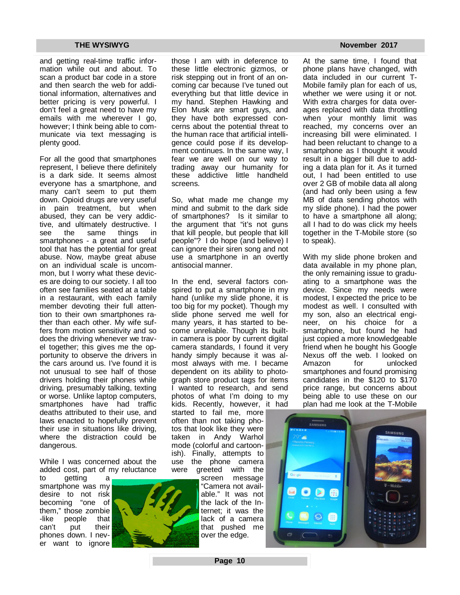and getting real-time traffic information while out and about. To scan a product bar code in a store and then search the web for additional information, alternatives and better pricing is very powerful. I don't feel a great need to have my emails with me wherever I go, however; I think being able to communicate via text messaging is plenty good.

For all the good that smartphones represent, I believe there definitely is a dark side. It seems almost everyone has a smartphone, and many can't seem to put them down. Opioid drugs are very useful in pain treatment, but when abused, they can be very addictive, and ultimately destructive. I see the same things in smartphones - a great and useful tool that has the potential for great abuse. Now, maybe great abuse on an individual scale is uncommon, but I worry what these devices are doing to our society. I all too often see families seated at a table in a restaurant, with each family member devoting their full attention to their own smartphones rather than each other. My wife suffers from motion sensitivity and so does the driving whenever we travel together; this gives me the opportunity to observe the drivers in the cars around us. I've found it is not unusual to see half of those drivers holding their phones while driving, presumably talking, texting or worse. Unlike laptop computers, smartphones have had traffic deaths attributed to their use, and laws enacted to hopefully prevent their use in situations like driving, where the distraction could be dangerous.

While I was concerned about the added cost, part of my reluctance

to getting a smartphone was my desire to not risk becoming "one of them," those zombie -like people that can't put their phones down. I never want to ignore



those I am with in deference to these little electronic gizmos, or risk stepping out in front of an oncoming car because I've tuned out everything but that little device in my hand. Stephen Hawking and Elon Musk are smart guys, and they have both expressed concerns about the potential threat to the human race that artificial intelligence could pose if its development continues. In the same way, I fear we are well on our way to trading away our humanity for these addictive little handheld screens.

So, what made me change my mind and submit to the dark side of smartphones? Is it similar to the argument that "it's not guns that kill people, but people that kill people"? I do hope (and believe) I can ignore their siren song and not use a smartphone in an overtly antisocial manner.

In the end, several factors conspired to put a smartphone in my hand (unlike my slide phone, it is too big for my pocket). Though my slide phone served me well for many years, it has started to become unreliable. Though its builtin camera is poor by current digital camera standards, I found it very handy simply because it was almost always with me. I became dependent on its ability to photograph store product tags for items I wanted to research, and send photos of what I'm doing to my kids. Recently, however, it had

started to fail me, more often than not taking photos that look like they were taken in Andy Warhol mode (colorful and cartoonish). Finally, attempts to use the phone camera were greeted with the

screen message "Camera not available." It was not the lack of the Internet; it was the lack of a camera that pushed me over the edge.

At the same time, I found that phone plans have changed, with data included in our current T-Mobile family plan for each of us, whether we were using it or not. With extra charges for data overages replaced with data throttling when your monthly limit was reached, my concerns over an increasing bill were eliminated. I had been reluctant to change to a smartphone as I thought it would result in a bigger bill due to adding a data plan for it. As it turned out, I had been entitled to use over 2 GB of mobile data all along (and had only been using a few MB of data sending photos with my slide phone). I had the power to have a smartphone all along; all I had to do was click my heels together in the T-Mobile store (so to speak).

With my slide phone broken and data available in my phone plan, the only remaining issue to graduating to a smartphone was the device. Since my needs were modest, I expected the price to be modest as well. I consulted with my son, also an electrical engineer, on his choice for a smartphone, but found he had just copied a more knowledgeable friend when he bought his Google Nexus off the web. I looked on Amazon for unlocked smartphones and found promising candidates in the \$120 to \$170 price range, but concerns about being able to use these on our plan had me look at the T-Mobile



**Page 10**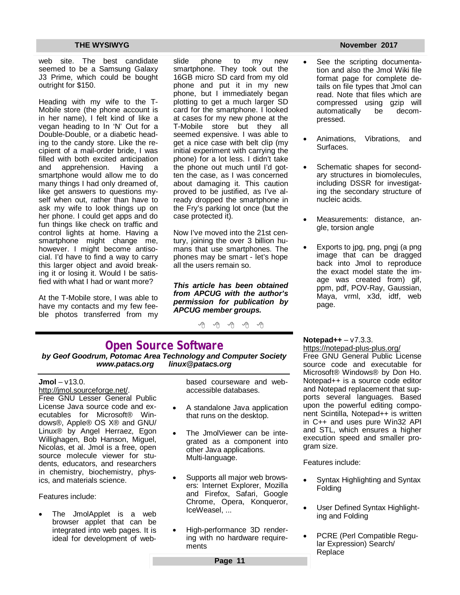web site. The best candidate seemed to be a Samsung Galaxy J3 Prime, which could be bought outright for \$150.

Heading with my wife to the T-Mobile store (the phone account is in her name), I felt kind of like a vegan heading to In 'N' Out for a Double-Double, or a diabetic heading to the candy store. Like the recipient of a mail-order bride, I was filled with both excited anticipation<br>and apprehension Having a apprehension. Having a smartphone would allow me to do many things I had only dreamed of, like get answers to questions myself when out, rather than have to ask my wife to look things up on her phone. I could get apps and do fun things like check on traffic and control lights at home. Having a smartphone might change me, however. I might become antisocial. I'd have to find a way to carry this larger object and avoid breaking it or losing it. Would I be satisfied with what I had or want more?

At the T-Mobile store, I was able to have my contacts and my few feeble photos transferred from my slide phone to my new smartphone. They took out the 16GB micro SD card from my old phone and put it in my new phone, but I immediately began plotting to get a much larger SD card for the smartphone. I looked at cases for my new phone at the T-Mobile store but they all seemed expensive. I was able to get a nice case with belt clip (my initial experiment with carrying the phone) for a lot less. I didn't take the phone out much until I'd gotten the case, as I was concerned about damaging it. This caution proved to be justified, as I've already dropped the smartphone in the Fry's parking lot once (but the case protected it).

Now I've moved into the 21st century, joining the over 3 billion humans that use smartphones. The phones may be smart - let's hope all the users remain so.

*This article has been obtained from APCUG with the author's permission for publication by APCUG member groups.*

有 有 有 有 有

# **Open Source Software**

*by Geof Goodrum, Potomac Area Technology and Computer Society [www.patacs.org](http://www.patacs.org) [linux@patacs.org](mailto:linux@patacs.org)*

#### **Jmol** – v13.0.

<http://jmol.sourceforge.net/.> Free GNU Lesser General Public License Java source code and executables for Microsoft® Windows®, Apple® OS X® and GNU/ Linux® by Angel Herraez, Egon Willighagen, Bob Hanson, Miguel, Nicolas, et al. Jmol is a free, open source molecule viewer for students, educators, and researchers in chemistry, biochemistry, physics, and materials science.

#### Features include:

 The JmolApplet is a web browser applet that can be integrated into web pages. It is ideal for development of webbased courseware and webaccessible databases.

- A standalone Java application that runs on the desktop.
- The JmolViewer can be integrated as a component into other Java applications. Multi-language.
- Supports all major web browsers: Internet Explorer, Mozilla and Firefox, Safari, Google Chrome, Opera, Konqueror, IceWeasel, ...
- High-performance 3D rendering with no hardware requirements

#### **THE WYSIWYG November 2017**

- See the scripting documentation and also the Jmol Wiki file format page for complete details on file types that Jmol can read. Note that files which are compressed using gzip will<br>automatically be decomautomatically be decompressed.
- Animations, Vibrations, and Surfaces.
- Schematic shapes for secondary structures in biomolecules, including DSSR for investigating the secondary structure of nucleic acids.
- Measurements: distance, angle, torsion angle
- Exports to jpg, png, pngj (a png image that can be dragged back into Jmol to reproduce the exact model state the image was created from) gif, ppm, pdf, POV-Ray, Gaussian, Maya, vrml, x3d, idtf, web page.

### **Notepad++** – v7.3.3.

<https://notepad-plus-plus.org/> Free GNU General Public License source code and executable for Microsoft® Windows® by Don Ho. Notepad++ is a source code editor and Notepad replacement that supports several languages. Based upon the powerful editing component Scintilla, Notepad++ is written in C++ and uses pure Win32 API and STL, which ensures a higher execution speed and smaller program size.

Features include:

- Syntax Highlighting and Syntax Folding
- User Defined Syntax Highlighting and Folding
- PCRE (Perl Compatible Regular Expression) Search/ Replace

**Page 11**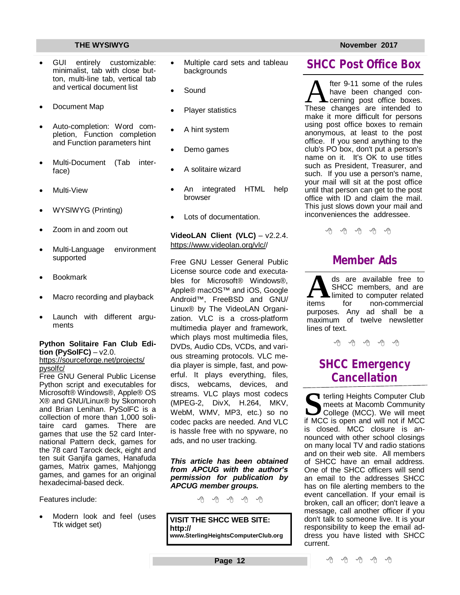- GUI entirely customizable: minimalist, tab with close button, multi-line tab, vertical tab and vertical document list
- Document Map
- Auto-completion: Word completion, Function completion and Function parameters hint
- Multi-Document (Tab interface)
- Multi-View
- WYSIWYG (Printing)
- Zoom in and zoom out
- Multi-Language environment supported
- Bookmark
- Macro recording and playback
- Launch with different arguments

### **Python Solitaire Fan Club Edition (PySolFC)** – v2.0.

<https://sourceforge.net/projects/> pysolfc/

Free GNU General Public License Python script and executables for Microsoft® Windows®, Apple® OS X® and GNU/Linux® by Skomoroh and Brian Lenihan. PySolFC is a collection of more than 1,000 solitaire card games. There are games that use the 52 card International Pattern deck, games for the 78 card Tarock deck, eight and ten suit Ganjifa games, Hanafuda games, Matrix games, Mahjongg games, and games for an original hexadecimal-based deck.

Features include:

 Modern look and feel (uses Ttk widget set)

- Multiple card sets and tableau backgrounds
- Sound
- Player statistics
- A hint system
- Demo games
- A solitaire wizard
- An integrated HTML help browser
- Lots of documentation.

**VideoLAN Client (VLC)** – v2.2.4. <https://www.videolan.org/vlc//>

Free GNU Lesser General Public License source code and executables for Microsoft® Windows®, Apple® macOS™ and iOS, Google Android™, FreeBSD and GNU/ Linux® by The VideoLAN Organization. VLC is a cross-platform multimedia player and framework, which plays most multimedia files, DVDs, Audio CDs, VCDs, and various streaming protocols. VLC media player is simple, fast, and powerful. It plays everything, files, discs, webcams, devices, and streams. VLC plays most codecs (MPEG-2, DivX, H.264, MKV, WebM, WMV, MP3, etc.) so no codec packs are needed. And VLC is hassle free with no spyware, no ads, and no user tracking.

*This article has been obtained from APCUG with the author's permission for publication by APCUG member groups.*

中 中 中 中 中

**VISIT THE SHCC WEB SITE: <http://> [www.SterlingHeightsComputerClub.org](http://www.SterlingHeightsComputerClub.org)**

**SHCC Post Office Box**

A fter 9-11 some of the rules<br>have been changed con-<br>These changes are intended to fter 9-11 some of the rules have been changed concerning post office boxes. make it more difficult for persons using post office boxes to remain anonymous, at least to the post office. If you send anything to the club's PO box, don't put a person's name on it. It's OK to use titles such as President, Treasurer, and such. If you use a person's name, your mail will sit at the post office until that person can get to the post office with ID and claim the mail. This just slows down your mail and inconveniences the addressee.

用用用用用用

# **Member Ads**

items ds are available free to SHCC members, and are limited to computer related for non-commercial purposes. Any ad shall be a maximum of twelve newsletter lines of text.

平 平 平 平 平

# **SHCC Emergency Cancellation**

**S S i** terling Heights Computer Club<br>
meets at Macomb Community<br>
College (MCC). We will meet<br>
if MCC is open and will not if MCC  $\blacktriangleleft$  terling Heights Computer Club meets at Macomb Community College (MCC). We will meet is closed. MCC closure is announced with other school closings on many local TV and radio stations and on their web site. All members of SHCC have an email address. One of the SHCC officers will send an email to the addresses SHCC has on file alerting members to the event cancellation. If your email is broken, call an officer; don't leave a message, call another officer if you don't talk to someone live. It is your responsibility to keep the email address you have listed with SHCC current.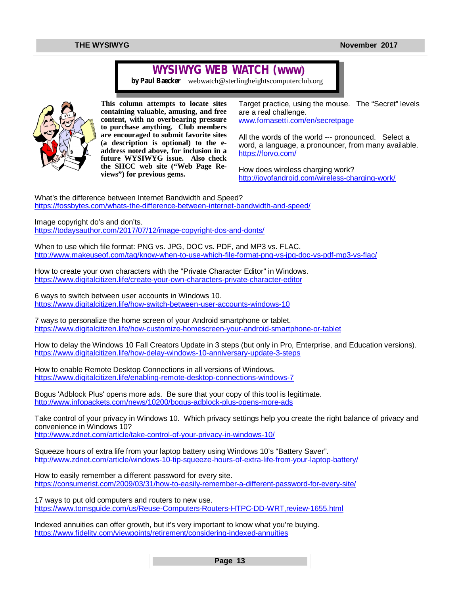# **WYSIWYG WEB WATCH (www)**

*by Paul Baecker* [webwatch@sterlingheightscomputerclub.org](mailto:webwatch@sterlingheightscomputerclub.org)



**This column attempts to locate sites containing valuable, amusing, and free content, with no overbearing pressure to purchase anything. Club members are encouraged to submit favorite sites (a description is optional) to the eaddress noted above, for inclusion in a future WYSIWYG issue. Also check the SHCC web site ("Web Page Reviews") for previous gems.** 

Target practice, using the mouse. The "Secret" levels are a real challenge. [www.fornasetti.com/en/secretpage](http://www.fornasetti.com/en/secretpage)

All the words of the world --- pronounced. Select a word, a language, a pronouncer, from many available. <https://forvo.com/>

How does wireless charging work? <http://joyofandroid.com/wireless-charging-work/>

What's the difference between Internet Bandwidth and Speed? <https://fossbytes.com/whats-the-difference-between-internet-bandwidth-and-speed/>

Image copyright do's and don'ts.

<https://todaysauthor.com/2017/07/12/image-copyright-dos-and-donts/>

When to use which file format: PNG vs. JPG, DOC vs. PDF, and MP3 vs. FLAC. <http://www.makeuseof.com/tag/know-when-to-use-which-file-format-png-vs-jpg-doc-vs-pdf-mp3-vs-flac/>

How to create your own characters with the "Private Character Editor" in Windows. <https://www.digitalcitizen.life/create-your-own-characters-private-character-editor>

6 ways to switch between user accounts in Windows 10. <https://www.digitalcitizen.life/how-switch-between-user-accounts-windows-10>

7 ways to personalize the home screen of your Android smartphone or tablet. <https://www.digitalcitizen.life/how-customize-homescreen-your-android-smartphone-or-tablet>

How to delay the Windows 10 Fall Creators Update in 3 steps (but only in Pro, Enterprise, and Education versions). <https://www.digitalcitizen.life/how-delay-windows-10-anniversary-update-3-steps>

How to enable Remote Desktop Connections in all versions of Windows. <https://www.digitalcitizen.life/enabling-remote-desktop-connections-windows-7>

Bogus 'Adblock Plus' opens more ads. Be sure that your copy of this tool is legitimate. <http://www.infopackets.com/news/10200/bogus-adblock-plus-opens-more-ads>

Take control of your privacy in Windows 10. Which privacy settings help you create the right balance of privacy and convenience in Windows 10? <http://www.zdnet.com/article/take-control-of-your-privacy-in-windows-10/>

Squeeze hours of extra life from your laptop battery using Windows 10's "Battery Saver". <http://www.zdnet.com/article/windows-10-tip-squeeze-hours-of-extra-life-from-your-laptop-battery/>

How to easily remember a different password for every site. <https://consumerist.com/2009/03/31/how-to-easily-remember-a-different-password-for-every-site/>

17 ways to put old computers and routers to new use. <https://www.tomsguide.com/us/Reuse-Computers-Routers-HTPC-DD-WRT,review-1655.html>

Indexed annuities can offer growth, but it's very important to know what you're buying. <https://www.fidelity.com/viewpoints/retirement/considering-indexed-annuities>

**Page 13**